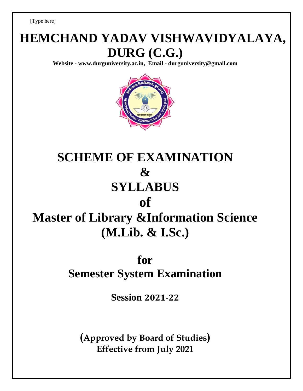[Type here]

# **HEMCHAND YADAV VISHWAVIDYALAYA, DURG (C.G.)**

**Website - [www.durguniversity.ac.in,](http://www.durguniversity.ac.in/) Email - [durguniversity@gmail.com](mailto:Email%20-%20durguniversity@gmail.com)**



# **SCHEME OF EXAMINATION & SYLLABUS of Master of Library &Information Science (M.Lib. & I.Sc.)**

## **for**

## **Semester System Examination**

**Session 2021-22**

**(Approved by Board of Studies) Effective from July 2021**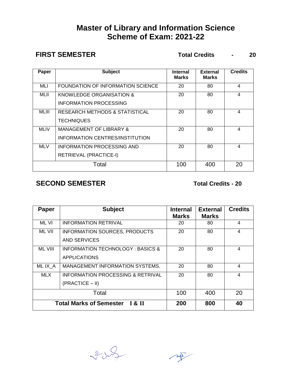### **Master of Library and Information Science Scheme of Exam: 2021-22**

**FIRST SEMESTER Total Credits - 20**

| Paper       | <b>Subject</b>                                                        | <b>Internal</b><br><b>Marks</b> | <b>External</b><br><b>Marks</b> | <b>Credits</b> |
|-------------|-----------------------------------------------------------------------|---------------------------------|---------------------------------|----------------|
| MLI         | FOUNDATION OF INFORMATION SCIENCE                                     | 20                              | 80                              | 4              |
| MLII        | KNOWLEDGE ORGANISATION &<br><b>INFORMATION PROCESSING</b>             | 20                              | 80                              | 4              |
| MLIII       | <b>RESEARCH METHODS &amp; STATISTICAL</b><br><b>TECHNIQUES</b>        | 20                              | 80                              | 4              |
| <b>MLIV</b> | <b>MANAGEMENT OF LIBRARY &amp;</b><br>INFORMATION CENTRES/INSTITUTION | 20                              | 80                              | 4              |
| <b>MLV</b>  | INFORMATION PROCESSING AND<br>RETRIEVAL (PRACTICE-I)                  | 20                              | 80                              | 4              |
| Total       |                                                                       | 100                             | 400                             | 20             |

### **SECOND SEMESTER Total Credits - 20**

| <b>Paper</b>                                         | <b>Subject</b>                              | <b>Internal</b><br><b>Marks</b> | <b>External</b><br><b>Marks</b> | <b>Credits</b> |
|------------------------------------------------------|---------------------------------------------|---------------------------------|---------------------------------|----------------|
| <b>ML VI</b>                                         | <b>INFORMATION RETRIVAL</b>                 | 20                              | 80                              | 4              |
| ML VII                                               | <b>INFORMATION SOURCES, PRODUCTS</b>        | 20                              | 80                              | 4              |
|                                                      | AND SERVICES                                |                                 |                                 |                |
| <b>ML VIII</b>                                       | <b>INFORMATION TECHNOLOGY: BASICS &amp;</b> | 20                              | 80                              | 4              |
|                                                      | <b>APPLICATIONS</b>                         |                                 |                                 |                |
| MLIX A                                               | MANAGEMENT INFORMATION SYSTEMS.             | 20                              | 80                              | 4              |
| MLX.                                                 | INFORMATION PROCESSING & RETRIVAL           | 20                              | 80                              | 4              |
|                                                      | $(PRACTICE - II)$                           |                                 |                                 |                |
| Total                                                |                                             | 100                             | 400                             | 20             |
| <b>Total Marks of Semester</b><br>$\overline{18}$ II |                                             | 200                             | 800                             | 40             |

3 rd  $\sim$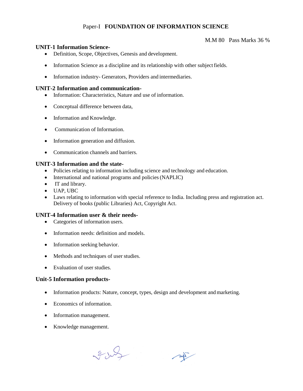### Paper-I **FOUNDATION OF INFORMATION SCIENCE**

#### **UNIT-1 Information Science-**

- Definition, Scope, Objectives, Genesis and development.
- Information Science as a discipline and its relationship with other subject fields.
- Information industry- Generators, Providers and intermediaries.

#### **UNIT-2 Information and communication-**

- Information: Characteristics, Nature and use of information.
- Conceptual difference between data,
- Information and Knowledge.
- Communication of Information.
- Information generation and diffusion.
- Communication channels and barriers.

#### **UNIT-3 Information and the state-**

- Policies relating to information including science and technology and education.
- International and national programs and policies (NAPLIC)
- IT and library.
- UAP, UBC
- Laws relating to information with special reference to India. Including press and registration act. Delivery of books (public Libraries) Act, Copyright Act.

#### **UNIT-4 Information user & their needs-**

- Categories of information users.
- Information needs: definition and models.
- Information seeking behavior.
- Methods and techniques of user studies.
- Evaluation of user studies.

#### **Unit-5 Information products-**

- Information products: Nature, concept, types, design and development and marketing.
- Economics of information.
- Information management.
- Knowledge management.

Sub

 $\sim$ 

M.M 80 Pass Marks 36 %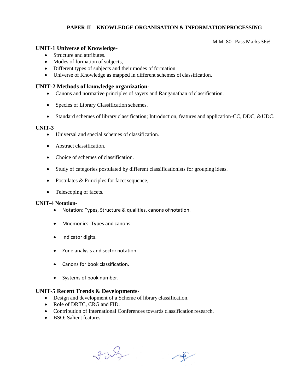#### **PAPER-II KNOWLEDGE ORGANISATION & INFORMATION PROCESSING**

M.M. 80 Pass Marks 36%

#### **UNIT-1 Universe of Knowledge-**

- Structure and attributes.
- Modes of formation of subjects,
- Different types of subjects and their modes of formation
- Universe of Knowledge as mapped in different schemes of classification.

#### **UNIT-2 Methods of knowledge organization-**

- Canons and normative principles of sayers and Ranganathan of classification.
- Species of Library Classification schemes.
- Standard schemes of library classification; Introduction, features and application-CC, DDC, &UDC.

#### **UNIT-3**

- Universal and special schemes of classification.
- Abstract classification.
- Choice of schemes of classification.
- Study of categories postulated by different classificationists for grouping ideas.
- Postulates & Principles for facet sequence,
- Telescoping of facets.

#### **UNIT-4 Notation-**

- Notation: Types, Structure & qualities, canons ofnotation.
- Mnemonics- Types and canons
- Indicator digits.
- Zone analysis and sector notation.
- Canons for book classification.
- Systems of book number.

#### **UNIT-5 Recent Trends & Developments-**

- Design and development of a Scheme of library classification.
- Role of DRTC, CRG and FID.
- Contribution of International Conferences towards classification research.
- BSO: Salient features.

Sub

 $\sim$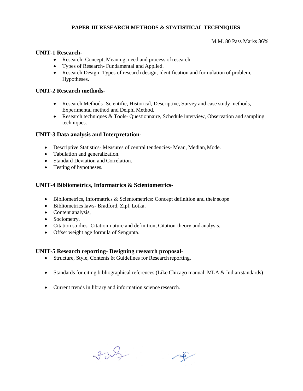#### **PAPER-III RESEARCH METHODS & STATISTICAL TECHNIQUES**

#### M.M. 80 Pass Marks 36%

#### **UNIT-1 Research-**

- Research: Concept, Meaning, need and process of research.
- Types of Research- Fundamental and Applied.
- Research Design- Types of research design, Identification and formulation of problem, Hypotheses.

#### **UNIT-2 Research methods-**

- Research Methods- Scientific, Historical, Descriptive, Survey and case study methods, Experimental method and Delphi Method.
- Research techniques & Tools- Questionnaire, Schedule interview, Observation and sampling techniques.

#### **UNIT-3 Data analysis and Interpretation-**

- Descriptive Statistics- Measures of central tendencies- Mean, Median,Mode.
- Tabulation and generalization.
- Standard Deviation and Correlation.
- Testing of hypotheses.

#### **UNIT-4 Bibliometrics, Informatrics & Scientometrics-**

- $\bullet$  Bibliometrics, Informatrics & Scientometrics: Concept definition and their scope
- Bibliometrics laws- Bradford, Zipf, Lotka.
- Content analysis,
- Sociometry.
- Citation studies- Citation-nature and definition, Citation-theory and analysis.=
- Offset weight age formula of Sengupta.

#### **UNIT-5 Research reporting- Designing research proposal-**

- Structure, Style, Contents & Guidelines for Research reporting.
- Standards for citing bibliographical references (Like Chicago manual, MLA & Indian standards)
- Current trends in library and information science research.

328

 $\sim$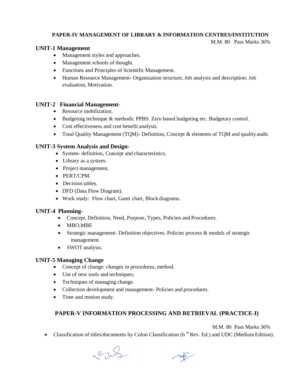#### **PAPER-IV MANAGEMENT OF LIBRARY & INFORMATION CENTRES/INSTITUTION**

M.M. 80 Pass Marks 36%

#### **UNIT-1 Management**

- Management styles and approaches.
- Management schools of thought.
- Functions and Principles of Scientific Management.
- Human Resource Management- Organization structure, Job analysis and description; Job evaluation, Motivation.

#### **UNIT-2 Financial Management-**

- Resource mobilization.
- Budgeting technique & methods: PPBS. Zero based budgeting etc. Budgetary control.
- Cost effectiveness and cost benefit analysis.
- Total Quality Management (TQM)- Definition, Concept & elements of TQM and qualityaudit.

#### **UNIT-3 System Analysis and Design-**

- System- definition, Concept and characteristics.
- Library as a system.
- Project management,
- PERT/CPM.
- Decision tables.
- DFD (Data Flow Diagram).
- Work study: Flow chart, Gantt chart, Block diagrams.

#### **UNIT-4 Planning-**

- Concept, Definition, Need, Purpose, Types, Policien and Procedures.
- MBO,MBE
- Strategic management- Definition objectives. Policies process & models of strategic management.
- SWOT analysis.

#### **UNIT-5 Managing Change**

- Concept of change: changes in procedures, method.
- Use of new tools and techniques;
- Techniques of managing change.
- Collection development and management- Policies and procedures.
- Time and motion study.

### **PAPER-V INFORMATION PROCESSING AND RETRIEVAL (PRACTICE-I)**

M.M. 80 Pass Marks 36%

• Classification of titles/documents by Colon Classification  $(6^{th}$  Rev. Ed.) and UDC (Medium Edition).

8 July  $\sim$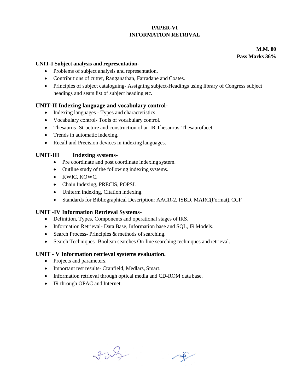#### **PAPER-VI INFORMATION RETRIVAL**

**M.M. 80 Pass Marks 36%**

#### **UNIT-I Subject analysis and representation-**

- Problems of subject analysis and representation.
- Contributions of cutter, Ranganathan, Farradane and Coates.
- Principles of subject cataloguing- Assigning subject-Headings using library of Congress subject headings and sears list of subject heading etc.

#### **UNIT-II Indexing language and vocabulary control-**

- Indexing languages Types and characteristics.
- Vocabulary control- Tools of vocabulary control.
- Thesaurus- Structure and construction of an IR Thesaurus. Thesaurofacet.
- Trends in automatic indexing.
- Recall and Precision devices in indexing languages.

#### **UNIT-III Indexing systems-**

- Pre coordinate and post coordinate indexing system.
- Outline study of the following indexing systems.
- KWIC, KOWC.
- Chain Indexing, PRECIS, POPSI.
- Uniterm indexing, Citation indexing.
- Standards for Bibliographical Description: AACR-2, ISBD, MARC(Format),CCF

#### **UNIT -IV Information Retrieval Systems-**

- Definition, Types, Components and operational stages of IRS.
- Information Retrieval- Data Base, Information base and SQL, IR Models.
- $\bullet$  Search Process- Principles & methods of searching.
- Search Techniques- Boolean searches On-line searching techniques and retrieval.

#### **UNIT - V Information retrieval systems evaluation.**

- Projects and parameters.
- Important test results- Cranfield, Medlars, Smart.
- Information retrieval through optical media and CD-ROM data base.
- IR through OPAC and Internet.

2 July

 $\sim$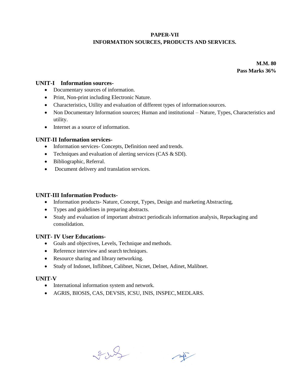#### **PAPER-VII INFORMATION SOURCES, PRODUCTS AND SERVICES.**

**M.M. 80 Pass Marks 36%**

#### **UNIT-I Information sources-**

- Documentary sources of information.
- Print, Non-print including Electronic Nature.
- Characteristics, Utility and evaluation of different types of information sources.
- Non Documentary Information sources; Human and institutional Nature, Types, Characteristics and utility.
- Internet as a source of information.

#### **UNIT-II Information services-**

- Information services- Concepts, Definition need and trends.
- Techniques and evaluation of alerting services (CAS & SDI).
- Bibliographic, Referral.
- Document delivery and translation services.

#### **UNIT-III Information Products-**

- Information products- Nature, Concept, Types, Design and marketing Abstracting,
- Types and guidelines in preparing abstracts.
- Study and evaluation of important abstract periodicals information analysis, Repackaging and consolidation.

#### **UNIT- IV User Educations-**

- Goals and objectives, Levels, Technique and methods.
- Reference interview and search techniques.
- Resource sharing and library networking.
- Study of Indonet, Inflibnet, Calibnet, Nicnet, Delnet, Adinet, Malibnet.

#### **UNIT-V**

- International information system and network.
- AGRIS, BIOSIS, CAS, DEVSIS, ICSU, INIS, INSPEC,MEDLARS.

2 July

 $\nu$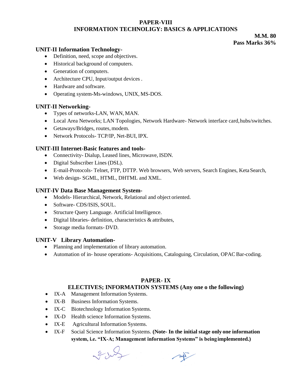#### **PAPER-VIII INFORMATION TECHNOLIGY: BASICS & APPLICATIONS**

#### **M.M. 80 Pass Marks 36%**

#### **UNIT-II Information Technology-**

- Definition, need, scope and objectives.
- Historical background of computers.
- Generation of computers.
- Architecture CPU, Input/output devices .
- Hardware and software.
- Operating system-Ms-windows, UNIX, MS-DOS.

#### **UNIT-II Networking-**

- Types of networks-LAN, WAN, MAN.
- Local Area Networks; LAN Topologies, Network Hardware- Network interface card,hubs/switches.
- Getaways/Bridges, routes, modem.
- Network Protocols- TCP/IP, Net-BUI, IPX.

#### **UNIT-III Internet-Basic features and tools-**

- Connectivity- Dialup, Leased lines, Microwave, ISDN.
- Digital Subscriber Lines (DSL).
- E-mail-Protocols- Telnet, FTP, DTTP. Web browsers, Web servers, Search Engines, KetaSearch,
- Web design- SGML, HTML, DHTML and XML.

#### **UNIT-IV Data Base Management System-**

- Models- Hierarchical, Network, Relational and object oriented.
- Software- CDS/ISIS, SOUL.
- Structure Query Language. Artificial Intelligence.
- Digital libraries- definition, characteristics & attributes,
- Storage media formats- DVD.

#### **UNIT-V Library Automation-**

- Planning and implementation of library automation.
- Automation of in- house operations- Acquisitions, Cataloguing, Circulation, OPACBar-coding.

#### **PAPER- IX**

#### **ELECTIVES; INFORMATION SYSTEMS (Any one o the following)**

- IX-A Management Information Systems.
- IX-B Business Information Systems.
- IX-C Biotechnology Information Systems.
- IX-D Health science Information Systems.
- IX-E Agricultural Information Systems.
- IX-F Social Science Information Systems. **(Note- In the initial stage only one information system, i.e. "IX-A; Management information Systems" is beingimplemented.)**

3005  $\sim$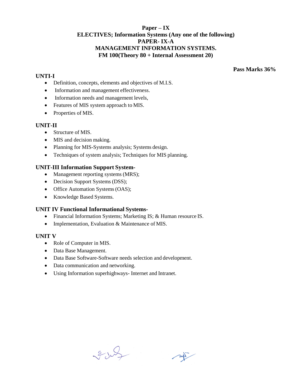#### **Paper – IX ELECTIVES; Information Systems (Any one of the following) PAPER- IX-A MANAGEMENT INFORMATION SYSTEMS. FM 100(Theory 80 + Internal Assessment 20)**

#### **UNTI-I**

**Pass Marks 36%**

- Definition, concepts, elements and objectives of M.I.S.
- Information and management effectiveness.
- Information needs and management levels,
- Features of MIS system approach to MIS.
- Properties of MIS.

#### **UNIT-II**

- Structure of MIS.
- MIS and decision making.
- Planning for MIS-Systems analysis; Systems design.
- Techniques of system analysis; Techniques for MIS planning.

#### **UNIT-III Information Support System-**

- Management reporting systems (MRS);
- Decision Support Systems (DSS);
- Office Automation Systems (OAS);
- Knowledge Based Systems.

#### **UNIT IV Functional Informational Systems-**

- Financial Information Systems; Marketing IS; & Human resource IS.
- Implementation, Evaluation & Maintenance of MIS.

#### **UNIT V**

- Role of Computer in MIS.
- Data Base Management.
- Data Base Software-Software needs selection and development.
- Data communication and networking.
- Using Information superhighways- Internet and Intranet.

3 July

 $\sim$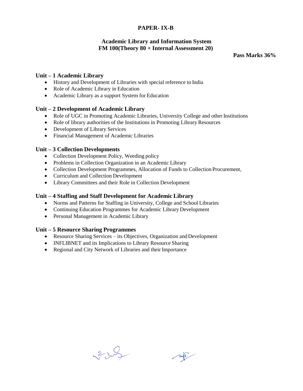#### **PAPER- IX-B**

### **Academic Library and Information System FM 100(Theory 80 + Internal Assessment 20)**

**Pass Marks 36%**

#### **Unit – 1 Academic Library**

- History and Development of Libraries with special reference to India
- Role of Academic Library in Education
- Academic Library as a support System for Education

#### **Unit – 2 Development of Academic Library**

- Role of UGC in Promoting Academic Libraries, University College and other Institutions
- Role of library authorities of the Institutions in Promoting Library Resources
- Development of Library Services
- Financial Management of Academic Libraries

#### **Unit – 3 Collection Developments**

- Collection Development Policy, Weeding policy
- Problems in Collection Organization in an Academic Library
- Collection Development Programmes, Allocation of Funds to Collection Procurement,
- Curriculum and Collection Development
- Library Committees and their Role in Collection Development

#### **Unit – 4 Staffing and Staff Development for Academic Library**

- Norms and Patterns for Staffing in University, College and School Libraries
- Continuing Education Programmes for Academic Library Development
- Personal Management in Academic Library

#### **Unit – 5 Resource Sharing Programmes**

- Resource Sharing Services its Objectives, Organization andDevelopment
- INFLIBNET and its Implications to Library Resource Sharing
- Regional and City Network of Libraries and their Importance

2 July

 $\sim$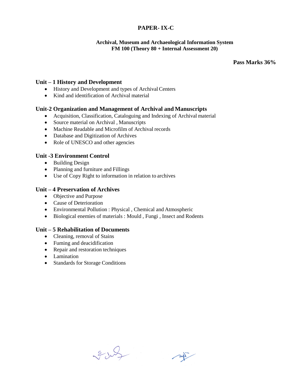#### **PAPER- IX-C**

#### **Archival, Museum and Archaeological Information System FM 100 (Theory 80 + Internal Assessment 20)**

**Pass Marks 36%**

#### **Unit – 1 History and Development**

- History and Development and types of Archival Centers
- Kind and identification of Archival material

#### **Unit-2 Organization and Management of Archival and Manuscripts**

- Acquisition, Classification, Cataloguing and Indexing of Archival material
- Source material on Archival , Manuscripts
- Machine Readable and Microfilm of Archival records
- Database and Digitization of Archives
- Role of UNESCO and other agencies

#### **Unit -3 Environment Control**

- Building Design
- Planning and furniture and Fillings
- Use of Copy Right to information in relation to archives

#### **Unit – 4 Preservation of Archives**

- Objective and Purpose
- Cause of Deterioration
- Environmental Pollution : Physical , Chemical and Atmospheric
- Biological enemies of materials : Mould, Fungi, Insect and Rodents

#### **Unit – 5 Rehabilitation of Documents**

- Cleaning, removal of Stains
- Fuming and deacidification
- Repair and restoration techniques
- Lamination
- Standards for Storage Conditions

2 July

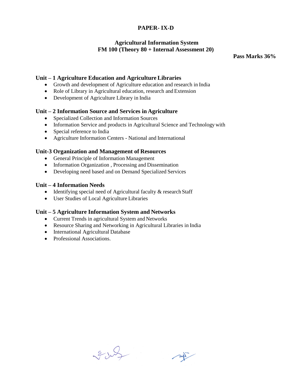#### **PAPER- IX-D**

#### **Agricultural Information System FM 100 (Theory 80 + Internal Assessment 20)**

**Pass Marks 36%**

#### **Unit – 1 Agriculture Education and Agriculture Libraries**

- Growth and development of Agriculture education and research in India
- Role of Library in Agricultural education, research and Extension
- Development of Agriculture Library in India

#### **Unit – 2 Information Source and Services in Agriculture**

- Specialized Collection and Information Sources
- Information Service and products in Agricultural Science and Technology with
- Special reference to India
- Agriculture Information Centers National and International

#### **Unit-3 Organization and Management of Resources**

- General Principle of Information Management
- Information Organization, Processing and Dissemination
- Developing need based and on Demand Specialized Services

#### **Unit – 4 Information Needs**

- Identifying special need of Agricultural faculty & research Staff
- User Studies of Local Agriculture Libraries

#### **Unit – 5 Agriculture Information System and Networks**

- Current Trends in agricultural System and Networks
- Resource Sharing and Networking in Agricultural Libraries in India
- International Agricultural Database
- Professional Associations.

2 July  $\sim$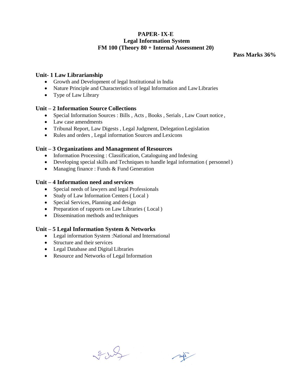### **PAPER- IX-E Legal Information System FM 100 (Theory 80 + Internal Assessment 20)**

**Pass Marks 36%**

#### **Unit- 1 Law Librarianship**

- Growth and Development of legal Institutional in India
- Nature Principle and Characteristics of legal Information and Law Libraries
- Type of Law Library

#### **Unit – 2 Information Source Collections**

- Special Information Sources : Bills , Acts , Books , Serials , Law Court notice ,
- Law case amendments
- Tribunal Report, Law Digests , Legal Judgment, Delegation Legislation
- Rules and orders , Legal information Sources and Lexicons

#### **Unit – 3 Organizations and Management of Resources**

- Information Processing : Classification, Cataloguing and Indexing
- Developing special skills and Techniques to handle legal information ( personnel)
- Managing finance : Funds  $&$  Fund Generation

#### **Unit – 4 Information need and services**

- Special needs of lawyers and legal Professionals
- Study of Law Information Centers (Local)
- Special Services, Planning and design
- Preparation of rapports on Law Libraries (Local)
- Dissemination methods and techniques

#### **Unit – 5 Legal Information System & Networks**

- Legal information System :National and International
- Structure and their services
- Legal Database and Digital Libraries
- Resource and Networks of Legal Information

2 July

 $247$